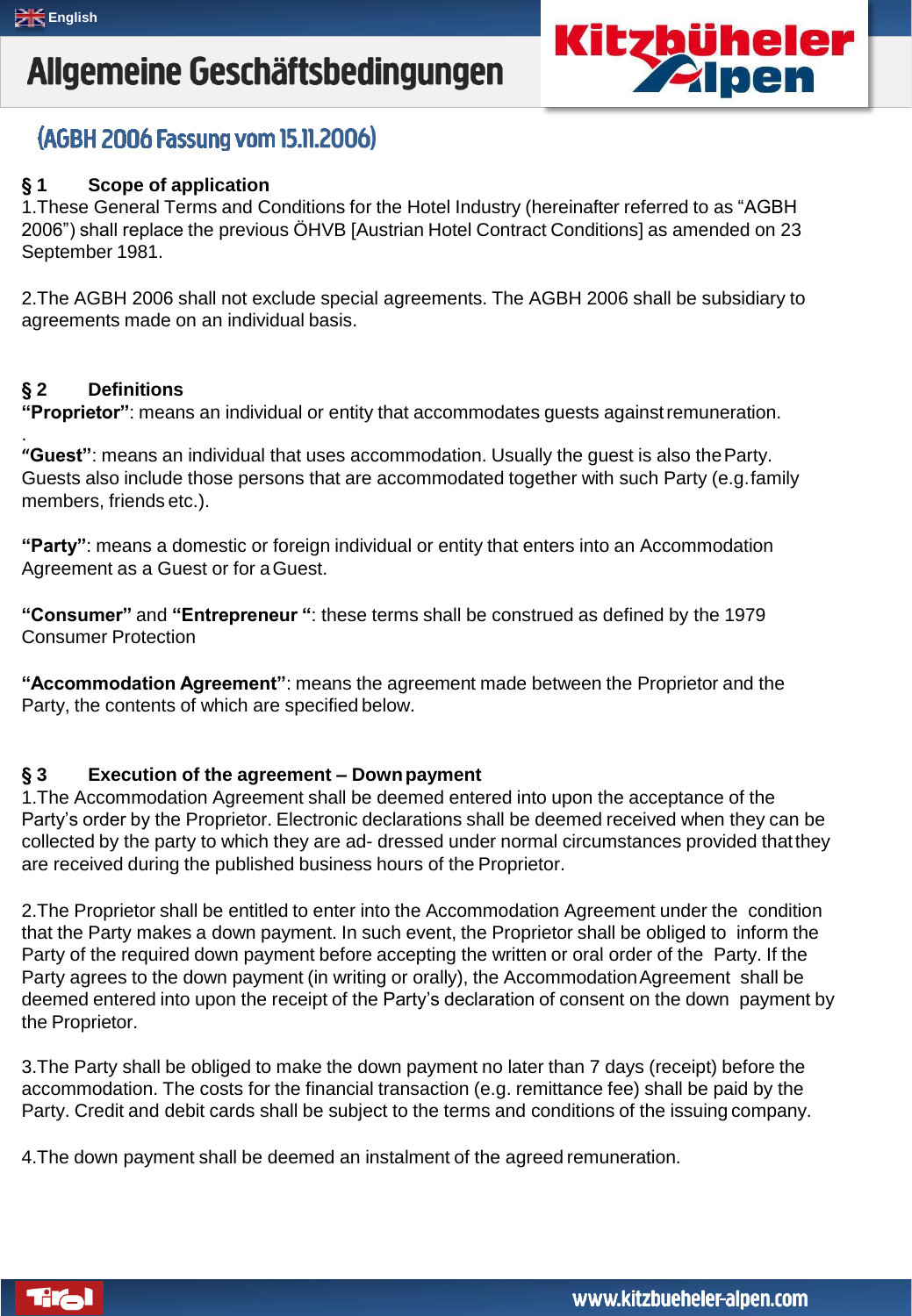

### (AGBH 2006 Fassung vom 15.11.2006)

### **§ 1 Scope of application**

1.These General Terms and Conditions for the Hotel Industry (hereinafter referred to as "AGBH 2006") shall replace the previous ÖHVB [Austrian Hotel Contract Conditions] as amended on 23 September 1981.

2.The AGBH 2006 shall not exclude special agreements. The AGBH 2006 shall be subsidiary to agreements made on an individual basis.

#### **§ 2 Definitions**

.

**"Proprietor"**: means an individual or entity that accommodates guests againstremuneration.

**"Guest"**: means an individual that uses accommodation. Usually the guest is also theParty. Guests also include those persons that are accommodated together with such Party (e.g.family members, friends etc.).

**"Party"**: means a domestic or foreign individual or entity that enters into an Accommodation Agreement as a Guest or for aGuest.

**"Consumer"** and **"Entrepreneur "**: these terms shall be construed as defined by the 1979 Consumer Protection

**"Accommodation Agreement"**: means the agreement made between the Proprietor and the Party, the contents of which are specified below.

#### **§ 3 Execution of the agreement – Downpayment**

1.The Accommodation Agreement shall be deemed entered into upon the acceptance of the Party's order by the Proprietor. Electronic declarations shall be deemed received when they can be collected by the party to which they are ad- dressed under normal circumstances provided thatthey are received during the published business hours of the Proprietor.

2.The Proprietor shall be entitled to enter into the Accommodation Agreement under the condition that the Party makes a down payment. In such event, the Proprietor shall be obliged to inform the Party of the required down payment before accepting the written or oral order of the Party. If the Party agrees to the down payment (in writing or orally), the Accommodation Agreement shall be deemed entered into upon the receipt of the Party's declaration of consent on the down payment by the Proprietor.

3.The Party shall be obliged to make the down payment no later than 7 days (receipt) before the accommodation. The costs for the financial transaction (e.g. remittance fee) shall be paid by the Party. Credit and debit cards shall be subject to the terms and conditions of the issuing company.

4.The down payment shall be deemed an instalment of the agreed remuneration.

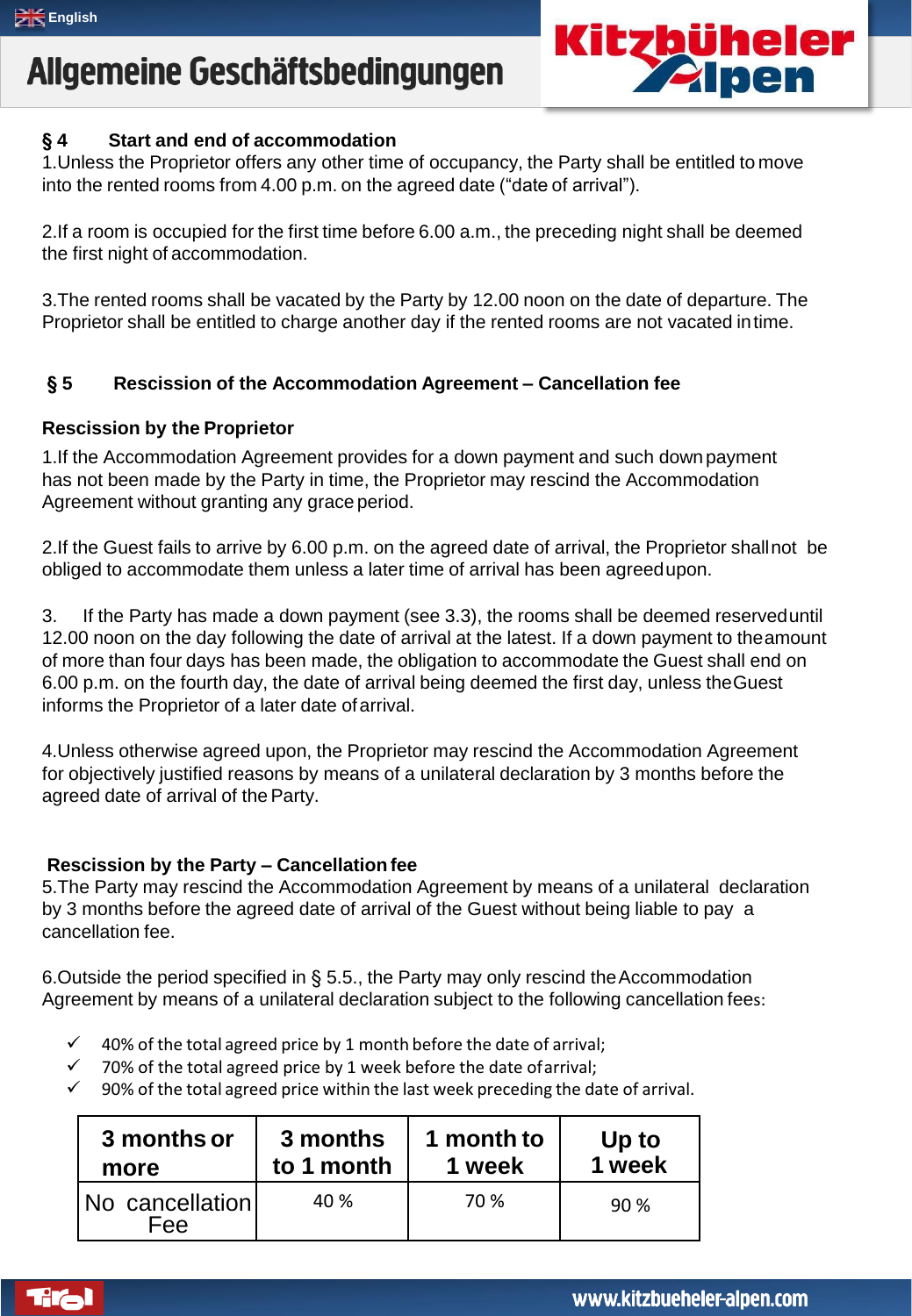

### **§ 4 Start and end of accommodation**

1.Unless the Proprietor offers any other time of occupancy, the Party shall be entitled to move into the rented rooms from 4.00 p.m. on the agreed date ("date of arrival").

2.If a room is occupied for the first time before 6.00 a.m., the preceding night shall be deemed the first night of accommodation.

3.The rented rooms shall be vacated by the Party by 12.00 noon on the date of departure. The Proprietor shall be entitled to charge another day if the rented rooms are not vacated intime.

### **§ 5 Rescission of the Accommodation Agreement – Cancellation fee**

#### **Rescission by the Proprietor**

1.If the Accommodation Agreement provides for a down payment and such downpayment has not been made by the Party in time, the Proprietor may rescind the Accommodation Agreement without granting any grace period.

2.If the Guest fails to arrive by 6.00 p.m. on the agreed date of arrival, the Proprietor shallnot be obliged to accommodate them unless a later time of arrival has been agreedupon.

3. If the Party has made a down payment (see 3.3), the rooms shall be deemed reserveduntil 12.00 noon on the day following the date of arrival at the latest. If a down payment to theamount of more than four days has been made, the obligation to accommodate the Guest shall end on 6.00 p.m. on the fourth day, the date of arrival being deemed the first day, unless theGuest informs the Proprietor of a later date ofarrival.

4.Unless otherwise agreed upon, the Proprietor may rescind the Accommodation Agreement for objectively justified reasons by means of a unilateral declaration by 3 months before the agreed date of arrival of the Party.

#### **Rescission by the Party – Cancellationfee**

5.The Party may rescind the Accommodation Agreement by means of a unilateral declaration by 3 months before the agreed date of arrival of the Guest without being liable to pay a cancellation fee.

6. Outside the period specified in  $\S$  5.5., the Party may only rescind the Accommodation Agreement by means of a unilateral declaration subject to the following cancellation fees:

- 40% of the total agreed price by 1 month before the date of arrival;
- 70% of the total agreed price by 1 week before the date ofarrival;
- $\checkmark$  90% of the total agreed price within the last week preceding the date of arrival.

| 3 months or            | 3 months   | 1 month to | Up to  |
|------------------------|------------|------------|--------|
| more                   | to 1 month | 1 week     | 1 week |
| No cancellation<br>Fee | 40 %       | 70 %       | 90%    |

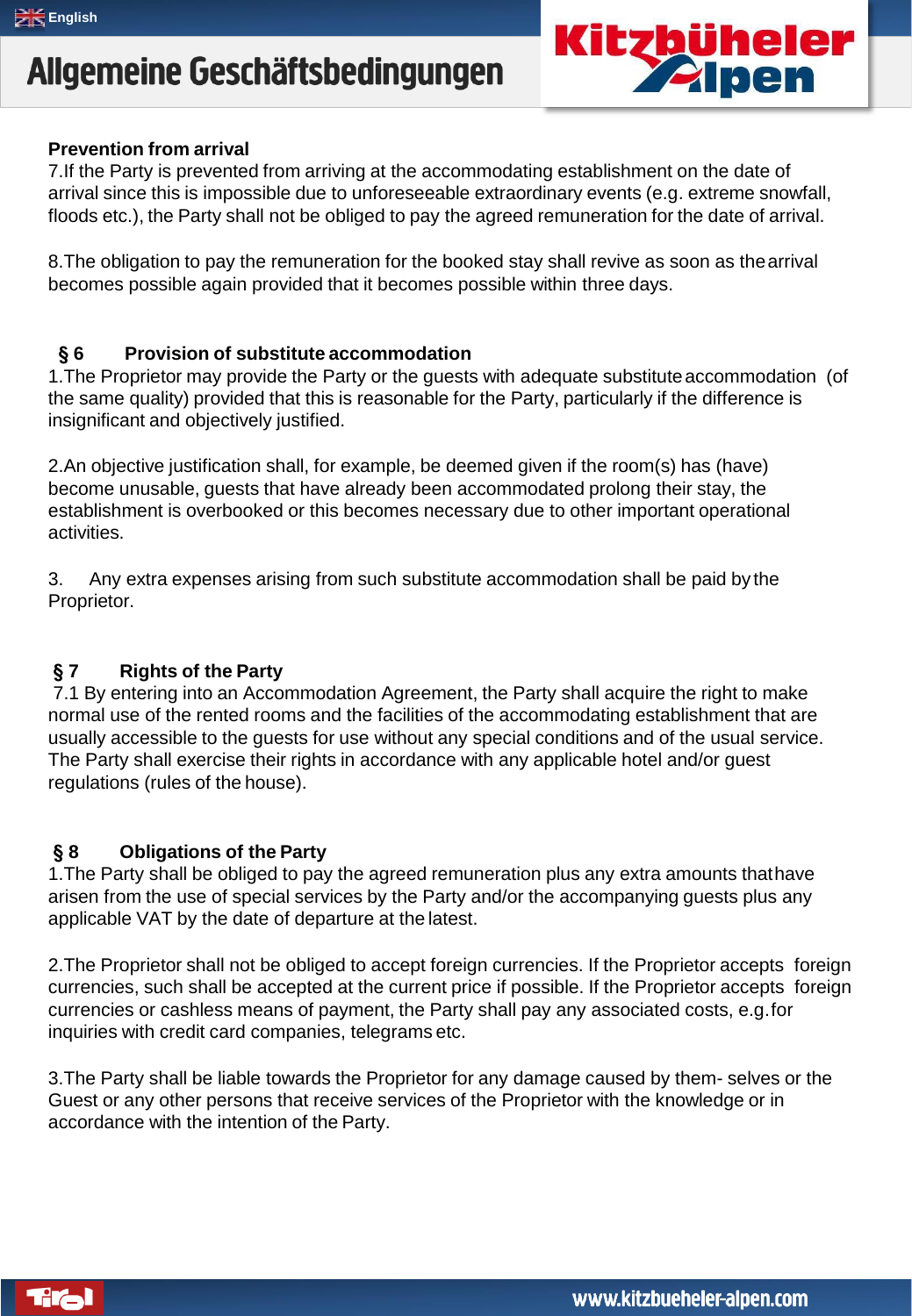

#### **Prevention from arrival**

7.If the Party is prevented from arriving at the accommodating establishment on the date of arrival since this is impossible due to unforeseeable extraordinary events (e.g. extreme snowfall, floods etc.), the Party shall not be obliged to pay the agreed remuneration for the date of arrival.

8.The obligation to pay the remuneration for the booked stay shall revive as soon as thearrival becomes possible again provided that it becomes possible within three days.

#### **§ 6 Provision of substitute accommodation**

1.The Proprietor may provide the Party or the guests with adequate substituteaccommodation (of the same quality) provided that this is reasonable for the Party, particularly if the difference is insignificant and objectively justified.

2.An objective justification shall, for example, be deemed given if the room(s) has (have) become unusable, guests that have already been accommodated prolong their stay, the establishment is overbooked or this becomes necessary due to other important operational activities.

3. Any extra expenses arising from such substitute accommodation shall be paid by the Proprietor.

### **§ 7 Rights of the Party**

7.1 By entering into an Accommodation Agreement, the Party shall acquire the right to make normal use of the rented rooms and the facilities of the accommodating establishment that are usually accessible to the guests for use without any special conditions and of the usual service. The Party shall exercise their rights in accordance with any applicable hotel and/or guest regulations (rules of the house).

### **§ 8 Obligations of the Party**

1.The Party shall be obliged to pay the agreed remuneration plus any extra amounts thathave arisen from the use of special services by the Party and/or the accompanying guests plus any applicable VAT by the date of departure at the latest.

2.The Proprietor shall not be obliged to accept foreign currencies. If the Proprietor accepts foreign currencies, such shall be accepted at the current price if possible. If the Proprietor accepts foreign currencies or cashless means of payment, the Party shall pay any associated costs, e.g.for inquiries with credit card companies, telegrams etc.

3.The Party shall be liable towards the Proprietor for any damage caused by them- selves or the Guest or any other persons that receive services of the Proprietor with the knowledge or in accordance with the intention of the Party.

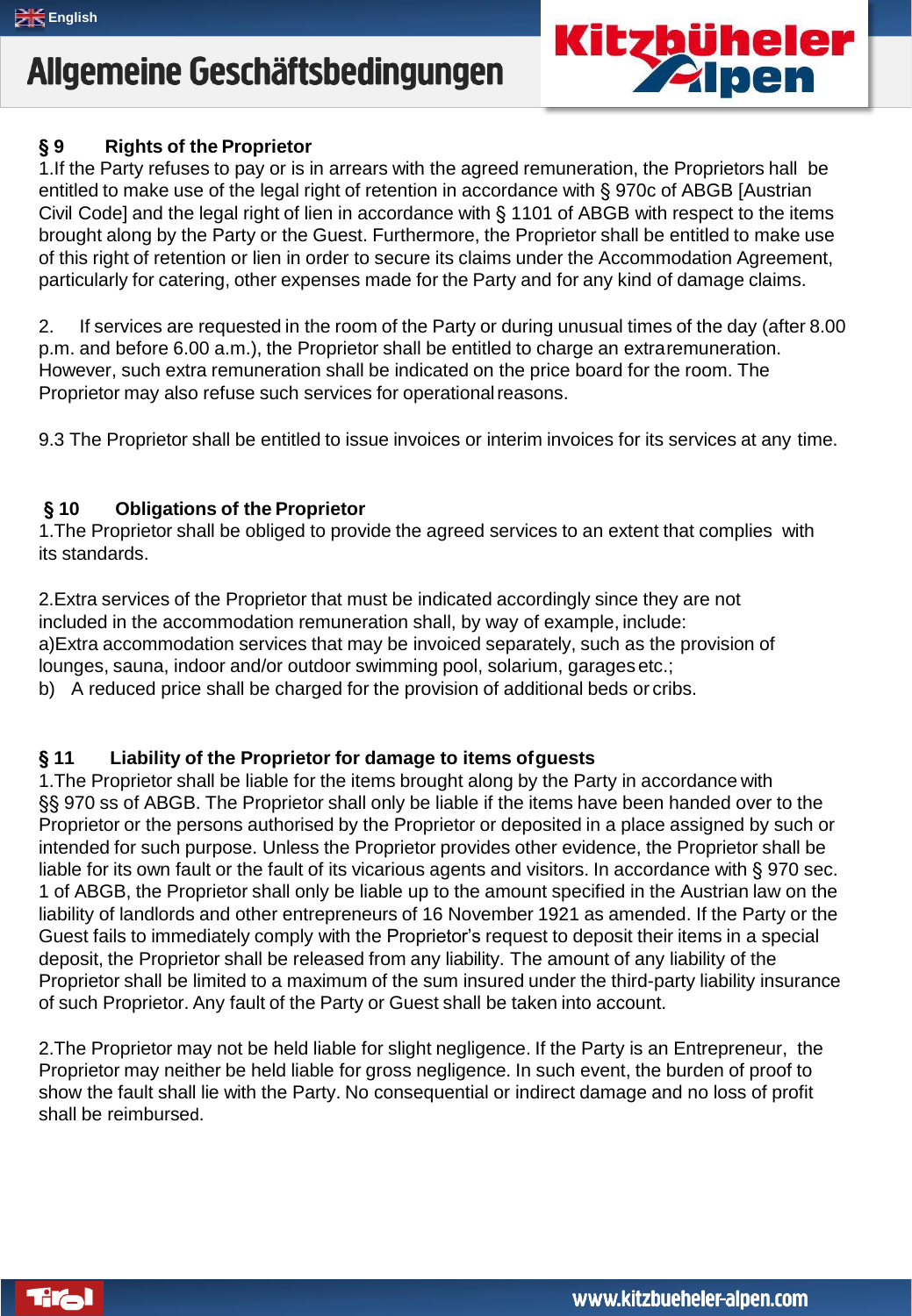### **§ 9 Rights of the Proprietor**

1.If the Party refuses to pay or is in arrears with the agreed remuneration, the Proprietors hall be entitled to make use of the legal right of retention in accordance with § 970c of ABGB [Austrian Civil Code] and the legal right of lien in accordance with § 1101 of ABGB with respect to the items brought along by the Party or the Guest. Furthermore, the Proprietor shall be entitled to make use of this right of retention or lien in order to secure its claims under the Accommodation Agreement, particularly for catering, other expenses made for the Party and for any kind of damage claims.

2. If services are requested in the room of the Party or during unusual times of the day (after 8.00 p.m. and before 6.00 a.m.), the Proprietor shall be entitled to charge an extraremuneration. However, such extra remuneration shall be indicated on the price board for the room. The Proprietor may also refuse such services for operational reasons.

9.3 The Proprietor shall be entitled to issue invoices or interim invoices for its services at any time.

### **§ 10 Obligations of the Proprietor**

1.The Proprietor shall be obliged to provide the agreed services to an extent that complies with its standards.

2.Extra services of the Proprietor that must be indicated accordingly since they are not included in the accommodation remuneration shall, by way of example, include: a)Extra accommodation services that may be invoiced separately, such as the provision of lounges, sauna, indoor and/or outdoor swimming pool, solarium, garagesetc.; b) A reduced price shall be charged for the provision of additional beds or cribs.

### **§ 11 Liability of the Proprietor for damage to items ofguests**

1.The Proprietor shall be liable for the items brought along by the Party in accordance with §§ 970 ss of ABGB. The Proprietor shall only be liable if the items have been handed over to the Proprietor or the persons authorised by the Proprietor or deposited in a place assigned by such or intended for such purpose. Unless the Proprietor provides other evidence, the Proprietor shall be liable for its own fault or the fault of its vicarious agents and visitors. In accordance with § 970 sec. 1 of ABGB, the Proprietor shall only be liable up to the amount specified in the Austrian law on the liability of landlords and other entrepreneurs of 16 November 1921 as amended. If the Party or the Guest fails to immediately comply with the Proprietor's request to deposit their items in a special deposit, the Proprietor shall be released from any liability. The amount of any liability of the Proprietor shall be limited to a maximum of the sum insured under the third-party liability insurance of such Proprietor. Any fault of the Party or Guest shall be taken into account.

2.The Proprietor may not be held liable for slight negligence. If the Party is an Entrepreneur, the Proprietor may neither be held liable for gross negligence. In such event, the burden of proof to show the fault shall lie with the Party. No consequential or indirect damage and no loss of profit shall be reimbursed.



**Kitzbüheler<br>Zalpen**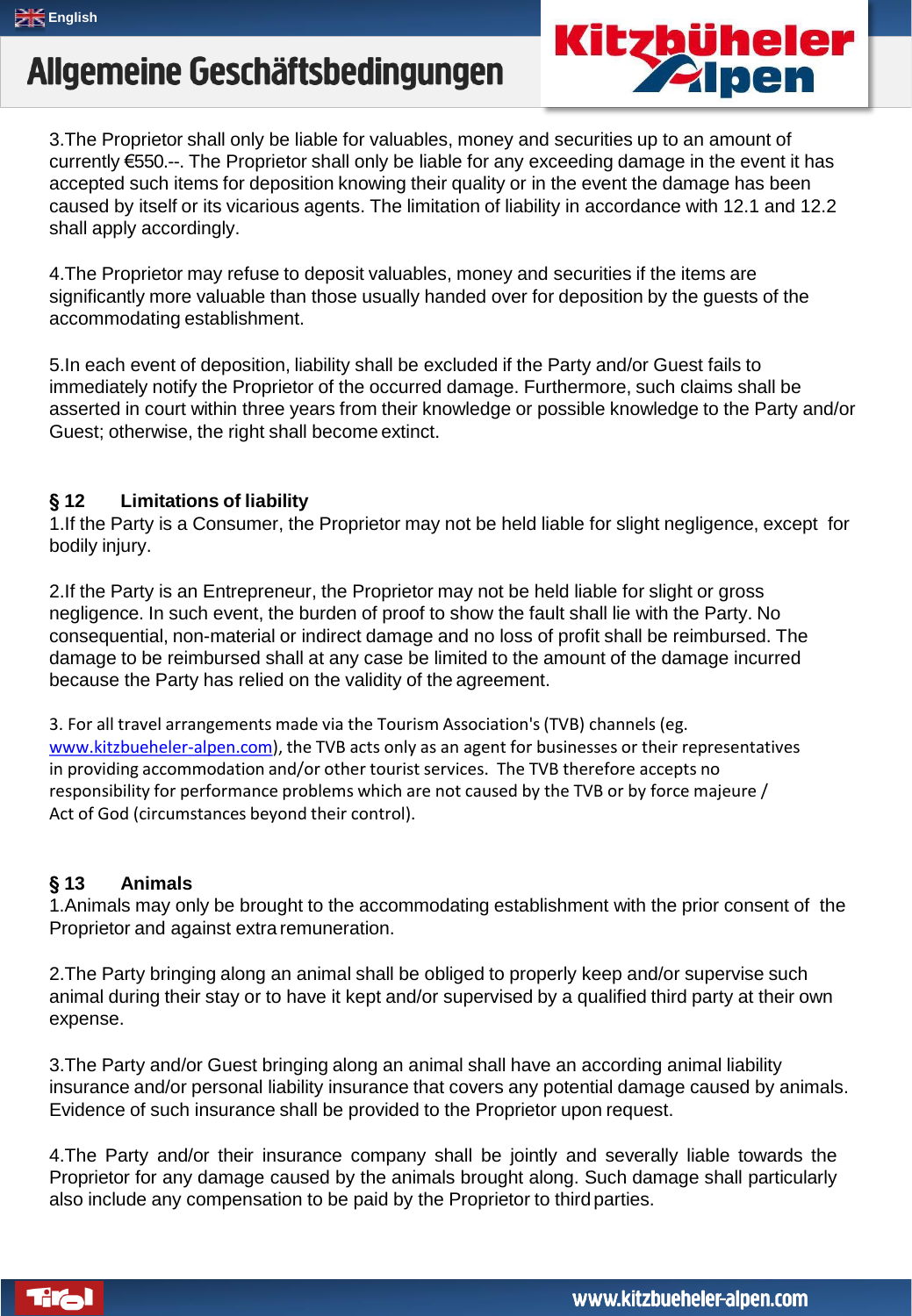

3.The Proprietor shall only be liable for valuables, money and securities up to an amount of currently €550.--. The Proprietor shall only be liable for any exceeding damage in the event it has accepted such items for deposition knowing their quality or in the event the damage has been caused by itself or its vicarious agents. The limitation of liability in accordance with 12.1 and 12.2 shall apply accordingly.

4.The Proprietor may refuse to deposit valuables, money and securities if the items are significantly more valuable than those usually handed over for deposition by the guests of the accommodating establishment.

5.In each event of deposition, liability shall be excluded if the Party and/or Guest fails to immediately notify the Proprietor of the occurred damage. Furthermore, such claims shall be asserted in court within three years from their knowledge or possible knowledge to the Party and/or Guest; otherwise, the right shall become extinct.

### **§ 12 Limitations of liability**

1.If the Party is a Consumer, the Proprietor may not be held liable for slight negligence, except for bodily injury.

2.If the Party is an Entrepreneur, the Proprietor may not be held liable for slight or gross negligence. In such event, the burden of proof to show the fault shall lie with the Party. No consequential, non-material or indirect damage and no loss of profit shall be reimbursed. The damage to be reimbursed shall at any case be limited to the amount of the damage incurred because the Party has relied on the validity of the agreement.

3. For all travel arrangements made via the Tourism Association's(TVB) channels (eg. [www.kitzbueheler-alpen.com\)](http://www.kitzbueheler-alpen.com/), the TVB acts only as an agent for businesses or their representatives in providing accommodation and/or other tourist services. The TVB therefore accepts no responsibility for performance problems which are not caused by the TVB or by force majeure / Act of God (circumstances beyond their control).

### **§ 13 Animals**

1.Animals may only be brought to the accommodating establishment with the prior consent of the Proprietor and against extra remuneration.

2.The Party bringing along an animal shall be obliged to properly keep and/or supervise such animal during their stay or to have it kept and/or supervised by a qualified third party at their own expense.

3.The Party and/or Guest bringing along an animal shall have an according animal liability insurance and/or personal liability insurance that covers any potential damage caused by animals. Evidence of such insurance shall be provided to the Proprietor upon request.

4.The Party and/or their insurance company shall be jointly and severally liable towards the Proprietor for any damage caused by the animals brought along. Such damage shall particularly also include any compensation to be paid by the Proprietor to third parties.

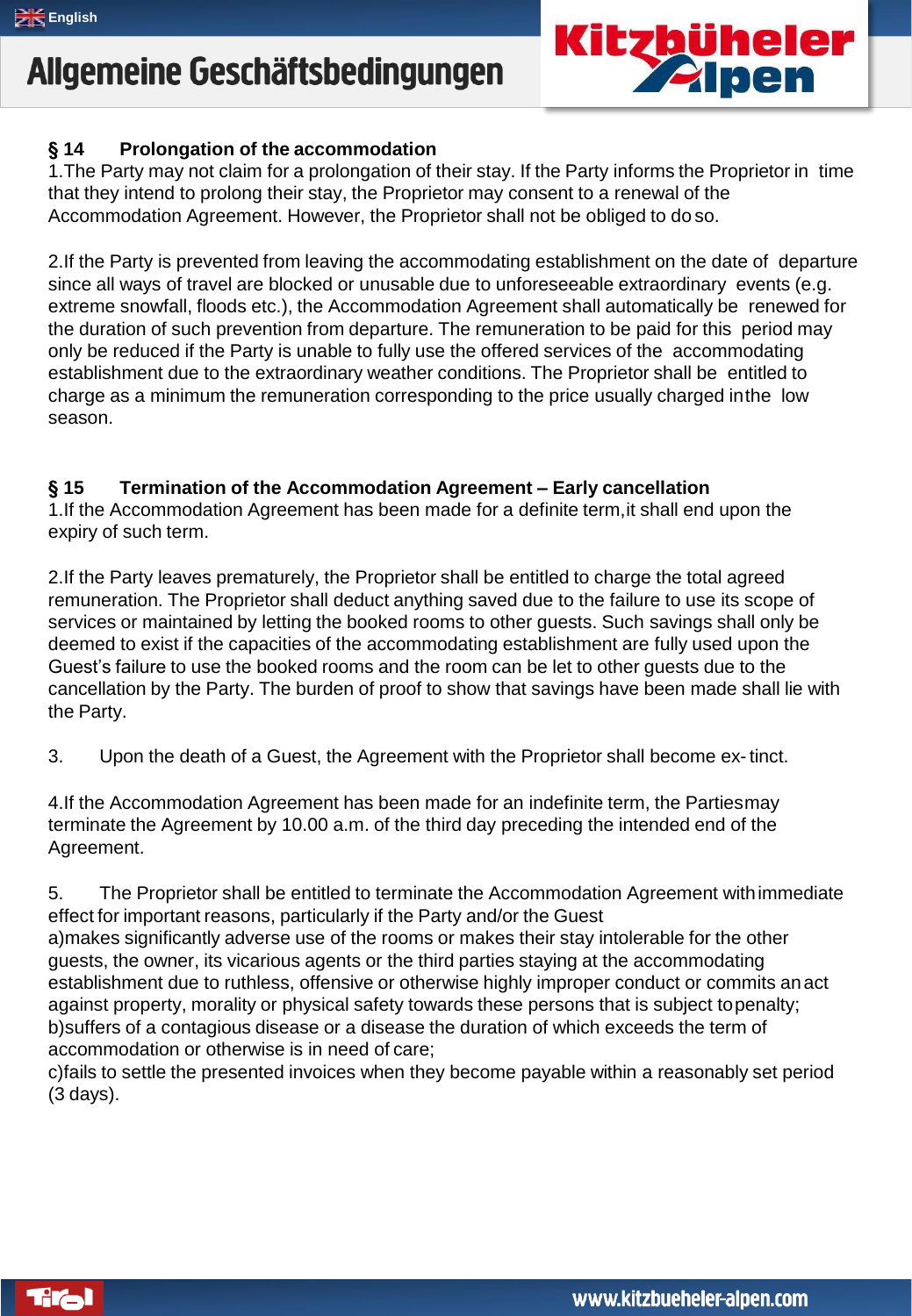

### **§ 14 Prolongation of the accommodation**

1.The Party may not claim for a prolongation of their stay. If the Party informs the Proprietor in time that they intend to prolong their stay, the Proprietor may consent to a renewal of the Accommodation Agreement. However, the Proprietor shall not be obliged to do so.

2.If the Party is prevented from leaving the accommodating establishment on the date of departure since all ways of travel are blocked or unusable due to unforeseeable extraordinary events (e.g. extreme snowfall, floods etc.), the Accommodation Agreement shall automatically be renewed for the duration of such prevention from departure. The remuneration to be paid for this period may only be reduced if the Party is unable to fully use the offered services of the accommodating establishment due to the extraordinary weather conditions. The Proprietor shall be entitled to charge as a minimum the remuneration corresponding to the price usually charged inthe low season.

### **§ 15 Termination of the Accommodation Agreement – Early cancellation**

1.If the Accommodation Agreement has been made for a definite term,it shall end upon the expiry of such term.

2.If the Party leaves prematurely, the Proprietor shall be entitled to charge the total agreed remuneration. The Proprietor shall deduct anything saved due to the failure to use its scope of services or maintained by letting the booked rooms to other guests. Such savings shall only be deemed to exist if the capacities of the accommodating establishment are fully used upon the Guest's failure to use the booked rooms and the room can be let to other guests due to the cancellation by the Party. The burden of proof to show that savings have been made shall lie with the Party.

3. Upon the death of a Guest, the Agreement with the Proprietor shall become ex-tinct.

4.If the Accommodation Agreement has been made for an indefinite term, the Partiesmay terminate the Agreement by 10.00 a.m. of the third day preceding the intended end of the Agreement.

5. The Proprietor shall be entitled to terminate the Accommodation Agreement withimmediate effect for important reasons, particularly if the Party and/or the Guest a)makes significantly adverse use of the rooms or makes their stay intolerable for the other guests, the owner, its vicarious agents or the third parties staying at the accommodating establishment due to ruthless, offensive or otherwise highly improper conduct or commits anact against property, morality or physical safety towards these persons that is subject topenalty; b)suffers of a contagious disease or a disease the duration of which exceeds the term of accommodation or otherwise is in need of care;

c)fails to settle the presented invoices when they become payable within a reasonably set period (3 days).

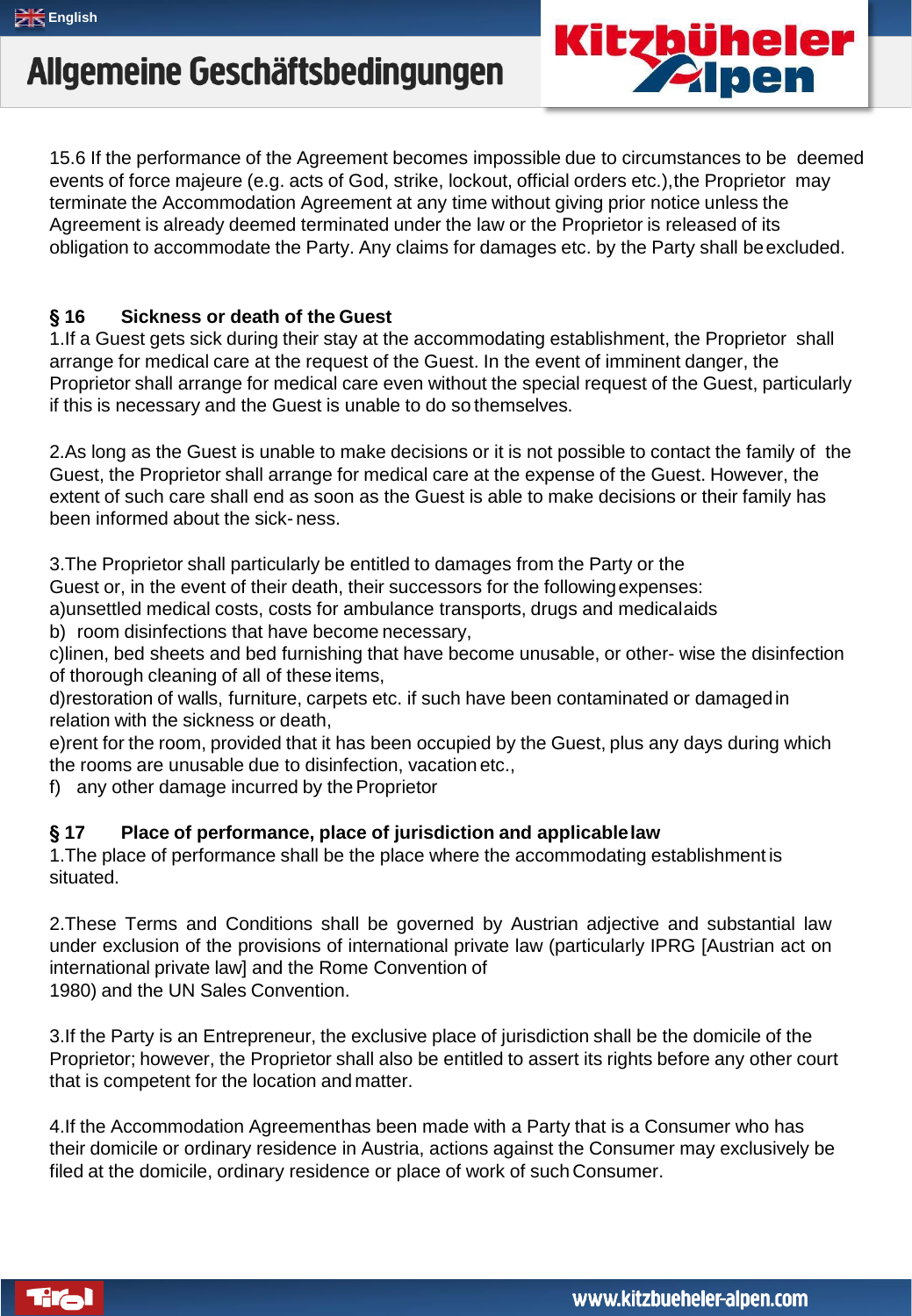15.6 If the performance of the Agreement becomes impossible due to circumstances to be deemed events of force majeure (e.g. acts of God, strike, lockout, official orders etc.),the Proprietor may terminate the Accommodation Agreement at any time without giving prior notice unless the Agreement is already deemed terminated under the law or the Proprietor is released of its obligation to accommodate the Party. Any claims for damages etc. by the Party shall beexcluded.

### **§ 16 Sickness or death of the Guest**

1.If a Guest gets sick during their stay at the accommodating establishment, the Proprietor shall arrange for medical care at the request of the Guest. In the event of imminent danger, the Proprietor shall arrange for medical care even without the special request of the Guest, particularly if this is necessary and the Guest is unable to do so themselves.

2.As long as the Guest is unable to make decisions or it is not possible to contact the family of the Guest, the Proprietor shall arrange for medical care at the expense of the Guest. However, the extent of such care shall end as soon as the Guest is able to make decisions or their family has been informed about the sick- ness.

3.The Proprietor shall particularly be entitled to damages from the Party or the

Guest or, in the event of their death, their successors for the followingexpenses:

a)unsettled medical costs, costs for ambulance transports, drugs and medicalaids b) room disinfections that have become necessary,

c)linen, bed sheets and bed furnishing that have become unusable, or other- wise the disinfection of thorough cleaning of all of these items,

d)restoration of walls, furniture, carpets etc. if such have been contaminated or damagedin relation with the sickness or death,

e)rent for the room, provided that it has been occupied by the Guest, plus any days during which the rooms are unusable due to disinfection, vacation etc.,

f) any other damage incurred by the Proprietor

### **§ 17 Place of performance, place of jurisdiction and applicablelaw**

1.The place of performance shall be the place where the accommodating establishment is situated.

2.These Terms and Conditions shall be governed by Austrian adjective and substantial law under exclusion of the provisions of international private law (particularly IPRG [Austrian act on international private law] and the Rome Convention of 1980) and the UN Sales Convention.

3.If the Party is an Entrepreneur, the exclusive place of jurisdiction shall be the domicile of the Proprietor; however, the Proprietor shall also be entitled to assert its rights before any other court that is competent for the location and matter.

4.If the Accommodation Agreementhas been made with a Party that is a Consumer who has their domicile or ordinary residence in Austria, actions against the Consumer may exclusively be filed at the domicile, ordinary residence or place of work of such Consumer.



**Kitzbüheler<br>Zalpen**